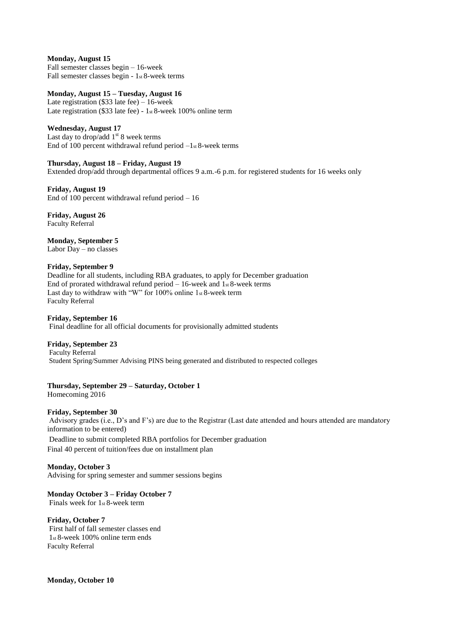**Monday, August 15**  Fall semester classes begin – 16-week Fall semester classes begin - 1st 8-week terms

## **Monday, August 15 – Tuesday, August 16**

Late registration (\$33 late fee) – 16-week Late registration (\$33 late fee) - 1st 8-week 100% online term

## **Wednesday, August 17**

Last day to drop/add  $1<sup>st</sup> 8$  week terms End of 100 percent withdrawal refund period  $-1$ <sub>st</sub> 8-week terms

## **Thursday, August 18 – Friday, August 19**

Extended drop/add through departmental offices 9 a.m.-6 p.m. for registered students for 16 weeks only

**Friday, August 19**  End of 100 percent withdrawal refund period  $-16$ 

**Friday, August 26**  Faculty Referral

**Monday, September 5**  Labor Day – no classes

## **Friday, September 9**

Deadline for all students, including RBA graduates, to apply for December graduation End of prorated withdrawal refund period  $-16$ -week and  $1<sub>st</sub> 8$ -week terms Last day to withdraw with "W" for 100% online 1st 8-week term Faculty Referral

## **Friday, September 16**

Final deadline for all official documents for provisionally admitted students

## **Friday, September 23**

Faculty Referral Student Spring/Summer Advising PINS being generated and distributed to respected colleges

# **Thursday, September 29 – Saturday, October 1**

Homecoming 2016

#### **Friday, September 30**

Advisory grades (i.e., D's and F's) are due to the Registrar (Last date attended and hours attended are mandatory information to be entered)

Deadline to submit completed RBA portfolios for December graduation Final 40 percent of tuition/fees due on installment plan

## **Monday, October 3**

Advising for spring semester and summer sessions begins

## **Monday October 3 – Friday October 7**

Finals week for 1st 8-week term

## **Friday, October 7**

First half of fall semester classes end 1st 8-week 100% online term ends Faculty Referral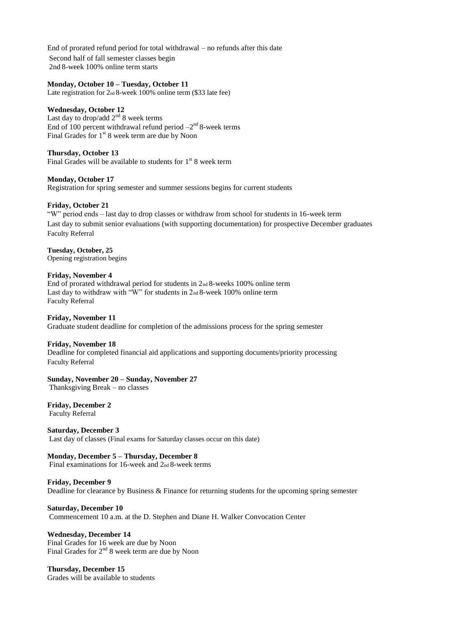End of prorated refund period for total withdrawal – no refunds after this date Second half of fall semester classes begin 2nd 8-week 100% online term starts

#### **Monday, October 10 – Tuesday, October 11**

Late registration for 2nd 8-week 100% online term (\$33 late fee)

#### **Wednesday, October 12**

Last day to drop/add  $2<sup>nd</sup> 8$  week terms End of 100 percent withdrawal refund period  $-2<sup>nd</sup> 8$ -week terms Final Grades for 1<sup>st</sup> 8 week term are due by Noon

#### **Thursday, October 13**

Final Grades will be available to students for  $1<sup>st</sup> 8$  week term

## **Monday, October 17**

Registration for spring semester and summer sessions begins for current students

## **Friday, October 21**

"W" period ends – last day to drop classes or withdraw from school for students in 16-week term Last day to submit senior evaluations (with supporting documentation) for prospective December graduates Faculty Referral

# **Tuesday, October, 25**

Opening registration begins

#### **Friday, November 4**

End of prorated withdrawal period for students in  $2<sub>nd</sub> 8$ -weeks 100% online term Last day to withdraw with "W" for students in 2nd 8-week 100% online term Faculty Referral

#### **Friday, November 11**

Graduate student deadline for completion of the admissions process for the spring semester

#### **Friday, November 18**

Deadline for completed financial aid applications and supporting documents/priority processing Faculty Referral

#### **Sunday, November 20 – Sunday, November 27**

Thanksgiving Break – no classes

**Friday, December 2**  Faculty Referral

#### **Saturday, December 3**

Last day of classes (Final exams for Saturday classes occur on this date)

#### **Monday, December 5 – Thursday, December 8**

Final examinations for 16-week and 2nd 8-week terms

#### **Friday, December 9**

Deadline for clearance by Business & Finance for returning students for the upcoming spring semester

#### **Saturday, December 10**

Commencement 10 a.m. at the D. Stephen and Diane H. Walker Convocation Center

## **Wednesday, December 14**

Final Grades for 16 week are due by Noon Final Grades for  $2<sup>nd</sup> 8$  week term are due by Noon

**Thursday, December 15**  Grades will be available to students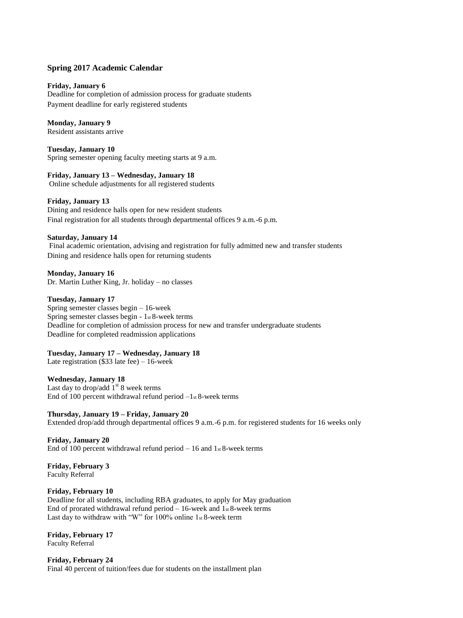# **Spring 2017 Academic Calendar**

## **Friday, January 6**

Deadline for completion of admission process for graduate students Payment deadline for early registered students

# **Monday, January 9**

Resident assistants arrive

**Tuesday, January 10**  Spring semester opening faculty meeting starts at 9 a.m.

**Friday, January 13 – Wednesday, January 18**  Online schedule adjustments for all registered students

## **Friday, January 13**

Dining and residence halls open for new resident students Final registration for all students through departmental offices 9 a.m.-6 p.m.

## **Saturday, January 14**

Final academic orientation, advising and registration for fully admitted new and transfer students Dining and residence halls open for returning students

**Monday, January 16**  Dr. Martin Luther King, Jr. holiday – no classes

# **Tuesday, January 17**

Spring semester classes begin – 16-week Spring semester classes begin - 1st 8-week terms Deadline for completion of admission process for new and transfer undergraduate students Deadline for completed readmission applications

## **Tuesday, January 17 – Wednesday, January 18**

Late registration (\$33 late fee) – 16-week

## **Wednesday, January 18**

Last day to drop/add  $1<sup>st</sup> 8$  week terms End of 100 percent withdrawal refund period  $-1$ <sub>st</sub> 8-week terms

**Thursday, January 19 – Friday, January 20**  Extended drop/add through departmental offices 9 a.m.-6 p.m. for registered students for 16 weeks only

**Friday, January 20**  End of 100 percent withdrawal refund period  $-16$  and  $1$ <sub>st</sub> 8-week terms

**Friday, February 3**  Faculty Referral

## **Friday, February 10**

Deadline for all students, including RBA graduates, to apply for May graduation End of prorated withdrawal refund period  $-16$ -week and  $1$ <sub>st</sub> 8-week terms Last day to withdraw with "W" for 100% online 1st 8-week term

**Friday, February 17**  Faculty Referral

**Friday, February 24**  Final 40 percent of tuition/fees due for students on the installment plan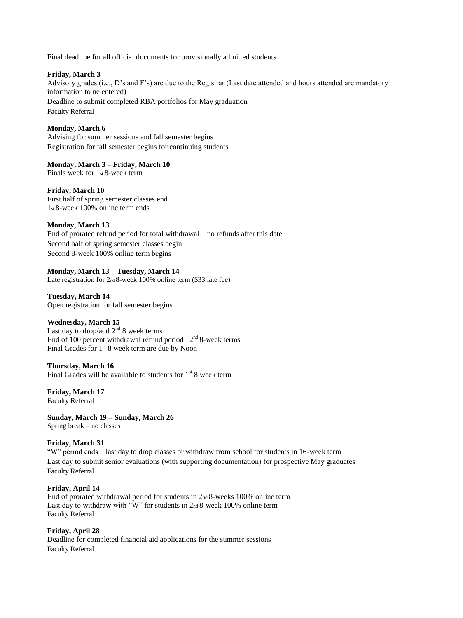Final deadline for all official documents for provisionally admitted students

# **Friday, March 3**

Advisory grades (i.e., D's and F's) are due to the Registrar (Last date attended and hours attended are mandatory information to ne entered) Deadline to submit completed RBA portfolios for May graduation Faculty Referral

# **Monday, March 6**

Advising for summer sessions and fall semester begins Registration for fall semester begins for continuing students

## **Monday, March 3 – Friday, March 10**

Finals week for 1st 8-week term

# **Friday, March 10**

First half of spring semester classes end 1st 8-week 100% online term ends

# **Monday, March 13**

End of prorated refund period for total withdrawal – no refunds after this date Second half of spring semester classes begin Second 8-week 100% online term begins

# **Monday, March 13 – Tuesday, March 14**

Late registration for  $2nd 8$ -week 100% online term (\$33 late fee)

**Tuesday, March 14** Open registration for fall semester begins

## **Wednesday, March 15**

Last day to drop/add  $2<sup>nd</sup> 8$  week terms End of 100 percent withdrawal refund period  $-2<sup>nd</sup> 8$ -week terms Final Grades for 1<sup>st</sup> 8 week term are due by Noon

## **Thursday, March 16**

Final Grades will be available to students for  $1<sup>st</sup> 8$  week term

**Friday, March 17**  Faculty Referral

**Sunday, March 19 – Sunday, March 26**  Spring break – no classes

# **Friday, March 31**

"W" period ends – last day to drop classes or withdraw from school for students in 16-week term Last day to submit senior evaluations (with supporting documentation) for prospective May graduates Faculty Referral

## **Friday, April 14**

End of prorated withdrawal period for students in 2nd 8-weeks 100% online term Last day to withdraw with "W" for students in 2<sup>nd</sup> 8-week 100% online term Faculty Referral

**Friday, April 28**  Deadline for completed financial aid applications for the summer sessions Faculty Referral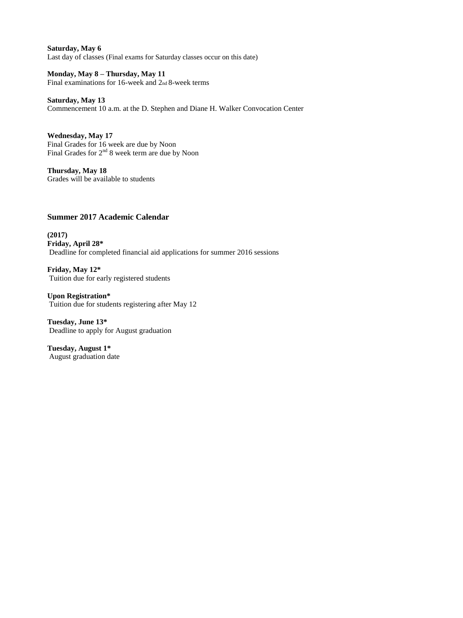**Saturday, May 6**  Last day of classes (Final exams for Saturday classes occur on this date)

**Monday, May 8 – Thursday, May 11**  Final examinations for 16-week and 2nd 8-week terms

**Saturday, May 13**  Commencement 10 a.m. at the D. Stephen and Diane H. Walker Convocation Center

**Wednesday, May 17**  Final Grades for 16 week are due by Noon Final Grades for 2<sup>nd</sup> 8 week term are due by Noon

**Thursday, May 18** Grades will be available to students

# **Summer 2017 Academic Calendar**

**(2017) Friday, April 28\***  Deadline for completed financial aid applications for summer 2016 sessions

**Friday, May 12\***  Tuition due for early registered students

**Upon Registration\***  Tuition due for students registering after May 12

**Tuesday, June 13\***  Deadline to apply for August graduation

**Tuesday, August 1\***  August graduation date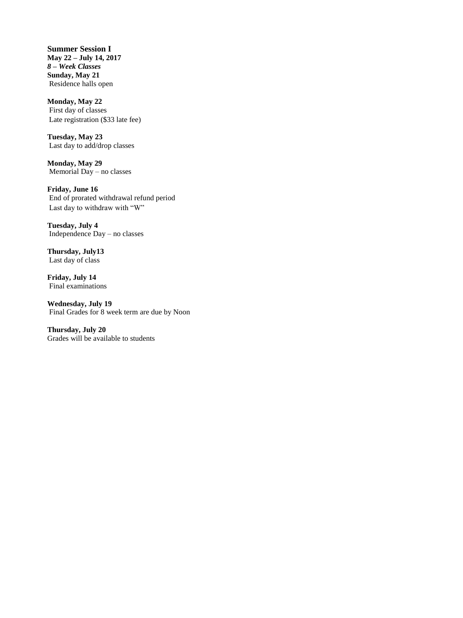**Summer Session I May 22 – July 14, 2017**  *8 – Week Classes*  **Sunday, May 21**  Residence halls open

**Monday, May 22**  First day of classes Late registration (\$33 late fee)

**Tuesday, May 23**  Last day to add/drop classes

**Monday, May 29**  Memorial Day – no classes

**Friday, June 16**  End of prorated withdrawal refund period Last day to withdraw with "W"

**Tuesday, July 4**  Independence Day – no classes

**Thursday, July13**  Last day of class

**Friday, July 14**  Final examinations

**Wednesday, July 19**  Final Grades for 8 week term are due by Noon

**Thursday, July 20** Grades will be available to students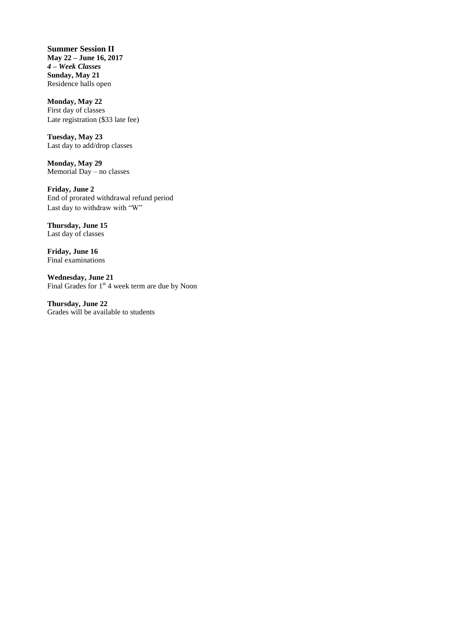**Summer Session II May 22 – June 16, 2017**  *4 – Week Classes*  **Sunday, May 21**  Residence halls open

**Monday, May 22**  First day of classes Late registration (\$33 late fee)

**Tuesday, May 23**  Last day to add/drop classes

**Monday, May 29**  Memorial Day – no classes

**Friday, June 2**  End of prorated withdrawal refund period Last day to withdraw with "W"

**Thursday, June 15**  Last day of classes

**Friday, June 16**  Final examinations

**Wednesday, June 21**  Final Grades for  $1<sup>st</sup>$  4 week term are due by Noon

**Thursday, June 22** Grades will be available to students